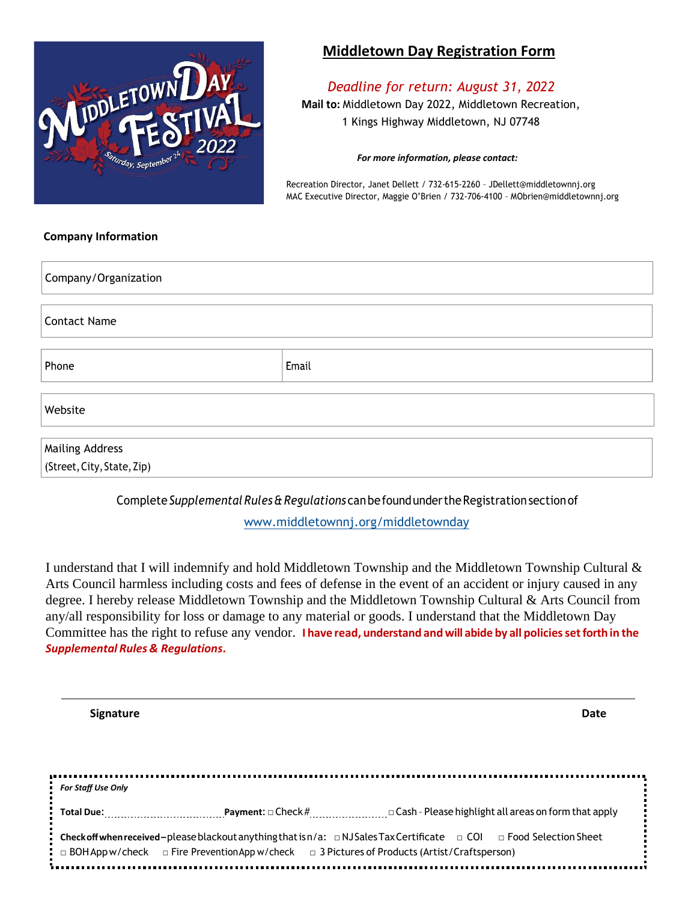

# **Middletown Day Registration Form**

*Deadline for return: August 31, 2022* **Mail to:** Middletown Day 2022, Middletown Recreation, 1 Kings Highway Middletown, NJ 07748

#### *For more information, please contact:*

Recreation Director, Janet Dellett / 732‐615‐2260 – JDellett@middletownnj.org MAC Executive Director, Maggie O'Brien / 732‐706‐4100 – MObrien@middletownnj.org

### **Company Information**

| Company/Organization                                 |       |  |  |  |
|------------------------------------------------------|-------|--|--|--|
| <b>Contact Name</b>                                  |       |  |  |  |
| Phone                                                | Email |  |  |  |
| Website                                              |       |  |  |  |
| <b>Mailing Address</b><br>(Street, City, State, Zip) |       |  |  |  |

Complete*Supplemental Rules&Regulations* canbefoundundertheRegistrationsectionof

www.middletownnj.org/middletownday

I understand that I will indemnify and hold Middletown Township and the Middletown Township Cultural & Arts Council harmless including costs and fees of defense in the event of an accident or injury caused in any degree. I hereby release Middletown Township and the Middletown Township Cultural & Arts Council from any/all responsibility for loss or damage to any material or goods. I understand that the Middletown Day Committee has the right to refuse any vendor. **I have read, understand andwill abide by all policiessetforth in the** *Supplemental Rules & Regulations***.**

| <b>Signature</b>   |                                                                                                                                                                                                                                                      | Date |
|--------------------|------------------------------------------------------------------------------------------------------------------------------------------------------------------------------------------------------------------------------------------------------|------|
|                    |                                                                                                                                                                                                                                                      |      |
| For Staff Use Only |                                                                                                                                                                                                                                                      |      |
| Total Due:         | <b>Payment:</b> $\Box$ Check # $\Box$ Cash - Please highlight all areas on form that apply                                                                                                                                                           |      |
|                    | <b>:</b> Checkoffwhen received-please blackout anything that isn/a: □ NJSales Tax Certificate □ COI □ Food Selection Sheet<br><b>:</b> $\Box$ BOH App w/check $\Box$ Fire Prevention App w/check $\Box$ 3 Pictures of Products (Artist/Craftsperson) |      |